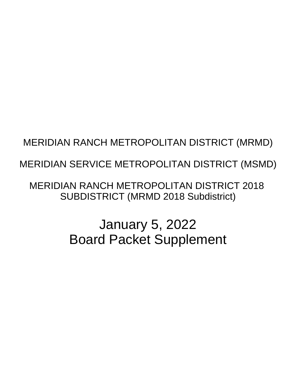# MERIDIAN RANCH METROPOLITAN DISTRICT (MRMD)

# MERIDIAN SERVICE METROPOLITAN DISTRICT (MSMD)

**MERIDIAN RANCH METROPOLITAN DISTRICT 2018 SUBDISTRICT (MRMD 2018 Subdistrict)** 

> **January 5, 2022 Board Packet Supplement**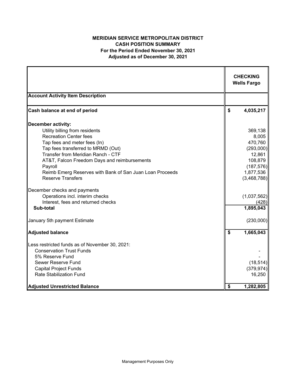### **MERIDIAN SERVICE METROPOLITAN DISTRICT CASH POSITION SUMMARY For the Period Ended November 30, 2021 Adjusted as of December 30, 2021**

|                                                          | <b>CHECKING</b><br><b>Wells Fargo</b> |
|----------------------------------------------------------|---------------------------------------|
| <b>Account Activity Item Description</b>                 |                                       |
| Cash balance at end of period                            | \$<br>4,035,217                       |
| <b>December activity:</b>                                |                                       |
| Utility billing from residents                           | 369,138                               |
| <b>Recreation Center fees</b>                            | 8,005                                 |
| Tap fees and meter fees (In)                             | 470,760                               |
| Tap fees transferred to MRMD (Out)                       | (293,000)                             |
| Transfer from Meridian Ranch - CTF                       | 12,861                                |
| AT&T, Falcon Freedom Days and reimbursements             | 108,879                               |
| Payroll                                                  | (187, 576)                            |
| Reimb Emerg Reserves with Bank of San Juan Loan Proceeds | 1,877,536                             |
| <b>Reserve Transfers</b>                                 | (3,468,788)                           |
| December checks and payments                             |                                       |
| Operations incl. interim checks                          | (1,037,562)                           |
| Interest, fees and returned checks                       | (428)                                 |
| Sub-total                                                | 1,895,043                             |
| January 5th payment Estimate                             | (230,000)                             |
| <b>Adjusted balance</b>                                  | \$<br>1,665,043                       |
| Less restricted funds as of November 30, 2021:           |                                       |
| <b>Conservation Trust Funds</b>                          |                                       |
| 5% Reserve Fund                                          |                                       |
| Sewer Reserve Fund                                       | (18, 514)                             |
| <b>Capital Project Funds</b>                             | (379, 974)                            |
| <b>Rate Stabilization Fund</b>                           | 16,250                                |
| <b>Adjusted Unrestricted Balance</b>                     | \$<br>1,282,805                       |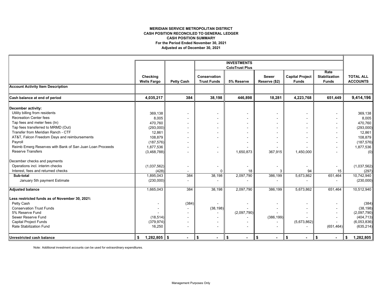#### **MERIDIAN SERVICE METROPOLITAN DISTRICT CASH POSITION RECONCILED TO GENERAL LEDGER For the Period Ended November 30, 2021 Adjusted as of December 30, 2021 CASH POSITION SUMMARY**

|                                                          |                                |                   |                                    | <b>INVESTMENTS</b>    |                        |                                        |                                              |                                     |
|----------------------------------------------------------|--------------------------------|-------------------|------------------------------------|-----------------------|------------------------|----------------------------------------|----------------------------------------------|-------------------------------------|
|                                                          |                                |                   |                                    | <b>ColoTrust Plus</b> |                        |                                        |                                              |                                     |
|                                                          | Checking<br><b>Wells Fargo</b> | <b>Petty Cash</b> | Conservation<br><b>Trust Funds</b> | 5% Reserve            | Sewer<br>Reserve (\$2) | <b>Capital Project</b><br><b>Funds</b> | Rate<br><b>Stabilization</b><br><b>Funds</b> | <b>TOTAL ALL</b><br><b>ACCOUNTS</b> |
| <b>Account Activity Item Description</b>                 |                                |                   |                                    |                       |                        |                                        |                                              |                                     |
| Cash balance at end of period                            | 4,035,217                      | 384               | 38,198                             | 446,898               | 18,281                 | 4,223,768                              | 651,449                                      | 9,414,196                           |
| December activity:                                       |                                |                   |                                    |                       |                        |                                        |                                              |                                     |
| Utility billing from residents                           | 369,138                        |                   |                                    |                       |                        |                                        |                                              | 369,138                             |
| <b>Recreation Center fees</b>                            | 8,005                          |                   |                                    |                       |                        |                                        |                                              | 8,005                               |
| Tap fees and meter fees (In)                             | 470,760                        |                   |                                    |                       |                        |                                        |                                              | 470,760                             |
| Tap fees transferred to MRMD (Out)                       | (293,000)                      |                   |                                    |                       |                        |                                        |                                              | (293,000)                           |
| Transfer from Meridian Ranch - CTF                       | 12,861                         |                   |                                    |                       |                        |                                        |                                              | 12,861                              |
| AT&T, Falcon Freedom Days and reimbursements             | 108,879                        |                   |                                    |                       |                        |                                        |                                              | 108,879                             |
| Payroll                                                  | (187, 576)                     |                   |                                    |                       |                        |                                        |                                              | (187, 576)                          |
| Reimb Emerg Reserves with Bank of San Juan Loan Proceeds | 1,877,536                      |                   |                                    |                       |                        |                                        |                                              | 1,877,536                           |
| <b>Reserve Transfers</b>                                 | (3,468,788)                    |                   |                                    | 1,650,873             | 367,915                | 1,450,000                              |                                              | (0)                                 |
| December checks and payments                             |                                |                   |                                    |                       |                        |                                        |                                              |                                     |
| Operations incl. interim checks                          | (1,037,562)                    |                   |                                    |                       |                        |                                        | $\blacksquare$                               | (1,037,562)                         |
| Interest, fees and returned checks                       | (428)                          | $\sim$            | $\Omega$                           | 18                    |                        | 94                                     | 15                                           | (297)                               |
| Sub-total                                                | 1,895,043                      | 384               | 38,198                             | 2,097,790             | 386,199                | 5,673,862                              | 651,464                                      | 10,742,940                          |
| January 5th payment Estimate                             | (230,000)                      |                   |                                    |                       |                        |                                        |                                              | (230,000)                           |
| <b>Adjusted balance</b>                                  | 1,665,043                      | 384               | 38,198                             | 2,097,790             | 386,199                | 5,673,862                              | 651,464                                      | 10,512,940                          |
| Less restricted funds as of November 30, 2021:           |                                |                   |                                    |                       |                        |                                        |                                              |                                     |
| Petty Cash                                               |                                | (384)             |                                    |                       |                        |                                        |                                              | (384)                               |
| <b>Conservation Trust Funds</b>                          |                                |                   | (38, 198)                          |                       |                        |                                        |                                              | (38, 198)                           |
| 5% Reserve Fund                                          |                                |                   |                                    | (2,097,790)           |                        |                                        |                                              | (2,097,790)                         |
| Sewer Reserve Fund                                       | (18, 514)                      |                   |                                    |                       | (386, 199)             |                                        |                                              | (404, 713)                          |
| <b>Capital Project Funds</b>                             | (379, 974)                     |                   |                                    |                       |                        | (5,673,862)                            |                                              | (6,053,836)                         |
| <b>Rate Stabilization Fund</b>                           | 16,250                         |                   |                                    |                       |                        |                                        | (651, 464)                                   | (635, 214)                          |
| Unrestricted cash balance                                | $1,282,805$ \$<br>\$           |                   | \$                                 | \$                    | \$<br>٠                | \$<br>$\blacksquare$                   | \$<br>$\blacksquare$                         | 1,282,805<br>\$                     |

Note: Additional investment accounts can be used for extraordinary expenditures.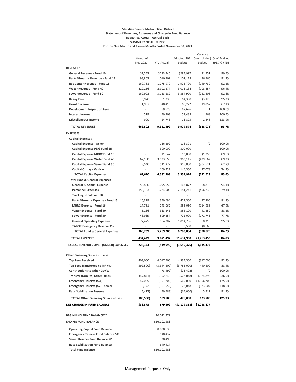#### **Meridian Service Metropolitan District Statement of Revenues, Expenses and Change in Fund Balance Budget vs. Actual - Accrual Basis SUMMARY OF ALL FUNDS For the One Month and Eleven Months Ended November 30, 2021**

|                                                                 |                   |                        |                                       | Variance                |                |
|-----------------------------------------------------------------|-------------------|------------------------|---------------------------------------|-------------------------|----------------|
|                                                                 | Month of          |                        | Adopted 2021 Over (Under) % of Budget |                         |                |
|                                                                 | Nov 2021          | <b>YTD Actual</b>      | <b>Budget</b>                         | <b>Budget</b>           | (91.7% YTD)    |
| <b>REVENUES</b>                                                 |                   |                        |                                       |                         |                |
| General Revenue - Fund 10                                       | \$1,553           | \$283,446              | \$284,997                             | (51, 551)               | 99.5%<br>91.3% |
| Parks/Grounds Revenue - Fund 15<br>Rec Center Revenue - Fund 16 | 93,863<br>160,761 | 1,010,909<br>1,775,970 | 1,107,175<br>1,925,700                | (96, 266)<br>(149, 730) | 92.2%          |
| <b>Water Revenue - Fund 40</b>                                  | 229,256           | 2,902,277              | 3,011,134                             | (108, 857)              | 96.4%          |
| Sewer Revenue - Fund 50                                         | 169,993           | 3,133,182              | 3,384,990                             | (251,808)               | 92.6%          |
| <b>Billing Fees</b>                                             | 3,970             | 61,230                 | 64,350                                | (3, 120)                | 95.2%          |
| <b>Grant Revenue</b>                                            | 1,987             | 40,415                 | 60,272                                | (19, 857)               | 67.1%          |
| <b>Development Inspection Fees</b>                              |                   | 69,625                 | 69,626                                | (1)                     | 100.0%         |
| <b>Interest Income</b>                                          | 519               | 59,703                 | 59,435                                | 268                     | 100.5%         |
| <b>Miscellaneous Income</b>                                     | 900               | 14,743                 | 11,895                                | 2,848                   | 123.9%         |
| <b>TOTAL REVENUES</b>                                           | 662,802           | 9,351,499              | 9,979,574                             | (628, 075)              | 93.7%          |
| <b>EXPENSES</b>                                                 |                   |                        |                                       |                         |                |
| <b>Capital Expenses</b>                                         |                   |                        |                                       |                         |                |
| <b>Capital Expense - Other</b>                                  |                   | 116,292                | 116,301                               | (9)                     | 100.0%         |
| Capital Expense P&G Fund 15                                     |                   | 300,000                | 300,000                               |                         | 100.0%         |
| <b>Capital Expense MRRC Fund 16</b>                             |                   | 11,647                 | 13,000                                | (1, 353)                | 89.6%          |
| <b>Capital Expense Water Fund 40</b>                            | 62,150            | 3,533,553              | 3,963,115                             | (429, 562)              | 89.2%          |
| <b>Capital Expense Sewer Fund 50</b>                            | 5.540             | 511.379                | 816,000                               | (304, 621)              | 62.7%          |
| Capital Outlay - Vehicle                                        |                   | 109,422                | 146,500                               | (37,078)                | 74.7%          |
| <b>TOTAL Capital Expenses</b>                                   | 67,690            | 4,582,293              | 5,354,916                             | (772,623)               | 85.6%          |
| <b>Total Fund &amp; General Expenses</b>                        |                   |                        |                                       |                         |                |
| General & Admin. Expense                                        | 55,866            | 1,095,059              | 1,163,877                             | (68, 818)               | 94.1%          |
| <b>Personnel Expenses</b>                                       | 150,183           | 1,724,505              | 2,181,241                             | (456, 736)              | 79.1%          |
| Tracking should net \$0                                         |                   | 0                      |                                       | 0                       |                |
| Parks/Grounds Expense - Fund 15                                 | 16,379            | 349,694                | 427,500                               | (77, 806)               | 81.8%          |
| <b>MRRC Expense - Fund 16</b>                                   | 17,761            | 243,062                | 358,050                               | (114, 988)              | 67.9%          |
| Water Expense - Fund 40                                         | 5,136             | 313,241                | 355,100                               | (41, 859)               | 88.2%          |
| Sewer Expense - Fund 50                                         | 43,939            | 599,257                | 771,000                               | (171, 743)              | 77.7%          |
| <b>General Operating Expenses</b>                               | 77,475            | 964,387                | 1,014,706                             | (50, 319)               | 95.0%          |
| <b>TABOR Emergency Reserve 3%</b>                               |                   |                        | 8,560                                 | (8,560)                 |                |
| <b>TOTAL Fund &amp; General Expenses</b>                        | 366,739           | 5,289,205              | 6,280,034                             | (990,829)               | 84.2%          |
| <b>TOTAL EXPENSES</b>                                           | 434,429           | 9,871,497              | 11,634,950                            | (1,763,453)             | 84.8%          |
| <b>EXCESS REVENUES OVER (UNDER) EXPENSES</b>                    | 228,373           | (519, 999)             | (1,655,376)                           | 1,135,377               |                |
| <b>Other Financing Sources (Uses)</b>                           |                   |                        |                                       |                         |                |
| <b>Tap Fees Received</b>                                        | 403,000           | 4,017,500              | 4,334,500                             | (317,000)               | 92.7%          |
| <b>Tap Fees Transferred to MRMD</b>                             | (592, 500)        | (3,344,500)            | (3,785,000)                           | 440,500                 | 88.4%          |
| <b>Contributions to Other Gov'ts</b>                            |                   | (73, 492)              | (73, 492)                             | (0)                     | 100.0%         |
| Transfer from (to) Other Funds                                  | (47,841)          | 1,352,845              | (572, 048)                            | 1,924,893               | -236.5%        |
| <b>Emergency Reserve (5%)</b>                                   | 47,085            | (991, 702)             | 565,000                               | (1,556,702)             | -175.5%        |
| Emergency Reserve (\$2) - Sewer                                 | 6,172             | (301, 559)             | 72,048                                | (373, 607)              | $-418.6%$      |
| <b>Rate Stabilization Reserve</b>                               | (5, 417)          | (59,583)               | (65,000)                              | 5,417                   | 91.7%          |
| <b>TOTAL Other Financing Sources (Uses)</b>                     | (189,500)         | 599,508                | 476,008                               | 123,500                 | 125.9%         |
| <b>NET CHANGE IN FUND BALANCE</b>                               | \$38,873          | \$79,509               | (51, 179, 368)                        | \$1,258,877             |                |
|                                                                 |                   |                        |                                       |                         |                |
| <b>BEGINNING FUND BALANCE**</b>                                 |                   | 10,022,479             |                                       |                         |                |
| <b>ENDING FUND BALANCE</b>                                      |                   | \$10,101,988           |                                       |                         |                |
| <b>Operating Capital Fund Balance</b>                           |                   | 8,890,635              |                                       |                         |                |
| <b>Emergency Reserve Fund Balance 5%</b>                        |                   | 540,437                |                                       |                         |                |
| Sewer Reserve Fund Balance \$2                                  |                   | 30,499                 |                                       |                         |                |
| <b>Rate Stabilization Fund Balance</b>                          |                   | 640,417                |                                       |                         |                |
| <b>Total Fund Balance</b>                                       |                   | \$10,101,988           |                                       |                         |                |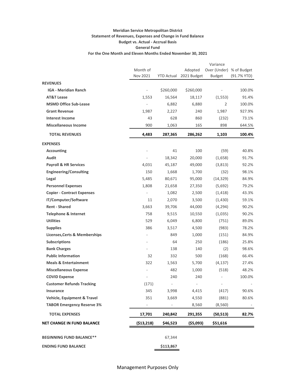#### **Meridian Service Metropolitan District Statement of Revenues, Expenses and Change in Fund Balance Budget vs. Actual - Accrual Basis General Fund For the One Month and Eleven Months Ended November 30, 2021**

|                                          |                              |            |                        | Variance                 |             |
|------------------------------------------|------------------------------|------------|------------------------|--------------------------|-------------|
|                                          | Month of                     |            | Adopted<br>2021 Budget | Over (Under) % of Budget |             |
|                                          | Nov 2021                     | YTD Actual |                        | <b>Budget</b>            | (91.7% YTD) |
| <b>REVENUES</b>                          |                              |            |                        |                          |             |
| <b>IGA - Meridian Ranch</b>              | $\overline{\phantom{a}}$     | \$260,000  | \$260,000              |                          | 100.0%      |
| <b>AT&amp;T Lease</b>                    | 1,553                        | 16,564     | 18,117                 | (1, 553)                 | 91.4%       |
| <b>MSMD Office Sub-Lease</b>             | $\blacksquare$               | 6,882      | 6,880                  | 2                        | 100.0%      |
| <b>Grant Revenue</b>                     | 1,987                        | 2,227      | 240                    | 1,987                    | 927.9%      |
| <b>Interest Income</b>                   | 43                           | 628        | 860                    | (232)                    | 73.1%       |
| <b>Miscellaneous Income</b>              | 900                          | 1,063      | 165                    | 898                      | 644.5%      |
| <b>TOTAL REVENUES</b>                    | 4,483                        | 287,365    | 286,262                | 1,103                    | 100.4%      |
| <b>EXPENSES</b>                          |                              |            |                        |                          |             |
| <b>Accounting</b>                        |                              | 41         | 100                    | (59)                     | 40.8%       |
| Audit                                    | $\qquad \qquad \blacksquare$ | 18,342     | 20,000                 | (1,658)                  | 91.7%       |
| <b>Payroll &amp; HR Services</b>         | 4,031                        | 45,187     | 49,000                 | (3,813)                  | 92.2%       |
| <b>Engineering/Consulting</b>            | 150                          | 1,668      | 1,700                  | (32)                     | 98.1%       |
| Legal                                    | 5,485                        | 80,671     | 95,000                 | (14, 329)                | 84.9%       |
| <b>Personnel Expenses</b>                | 1,808                        | 21,658     | 27,350                 | (5,692)                  | 79.2%       |
| <b>Copier - Contract Expenses</b>        | $\overline{\phantom{a}}$     | 1,082      | 2,500                  | (1, 418)                 | 43.3%       |
| IT/Computer/Software                     | 11                           | 2,070      | 3,500                  | (1,430)                  | 59.1%       |
| <b>Rent - Shared</b>                     | 3,663                        | 39,706     | 44,000                 | (4, 294)                 | 90.2%       |
| <b>Telephone &amp; Internet</b>          | 758                          | 9,515      | 10,550                 | (1,035)                  | 90.2%       |
| <b>Utilities</b>                         | 529                          | 6,049      | 6,800                  | (751)                    | 89.0%       |
| <b>Supplies</b>                          | 386                          | 3,517      | 4,500                  | (983)                    | 78.2%       |
| <b>Licenses, Certs &amp; Memberships</b> |                              | 849        | 1,000                  | (151)                    | 84.9%       |
| <b>Subscriptions</b>                     |                              | 64         | 250                    | (186)                    | 25.8%       |
| <b>Bank Charges</b>                      |                              | 138        | 140                    | (2)                      | 98.6%       |
| <b>Public Information</b>                | 32                           | 332        | 500                    | (168)                    | 66.4%       |
| <b>Meals &amp; Entertainment</b>         | 322                          | 1,563      | 5,700                  | (4, 137)                 | 27.4%       |
| <b>Miscellaneous Expense</b>             |                              | 482        | 1,000                  | (518)                    | 48.2%       |
| <b>COVID Expense</b>                     |                              | 240        | 240                    |                          | 100.0%      |
| <b>Customer Refunds Tracking</b>         | (171)                        |            |                        |                          |             |
| Insurance                                | 345                          | 3,998      | 4,415                  | (417)                    | 90.6%       |
| <b>Vehicle, Equipment &amp; Travel</b>   | 351                          | 3,669      | 4,550                  | (881)                    | 80.6%       |
| <b>TABOR Emergency Reserve 3%</b>        | ۰.                           | $\sim$     | 8,560                  | (8,560)                  |             |
| <b>TOTAL EXPENSES</b>                    | 17,701                       | 240,842    | 291,355                | (50, 513)                | 82.7%       |
| <b>NET CHANGE IN FUND BALANCE</b>        | ( \$13, 218)                 | \$46,523   | ( \$5,093)             | \$51,616                 |             |
|                                          |                              |            |                        |                          |             |
| <b>BEGINNING FUND BALANCE**</b>          |                              | 67,344     |                        |                          |             |
| <b>ENDING FUND BALANCE</b>               |                              | \$113,867  |                        |                          |             |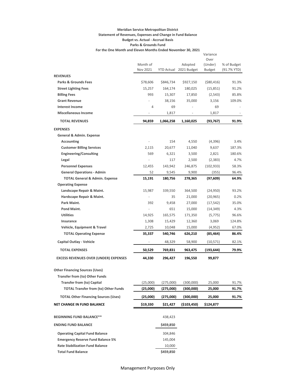#### **Meridian Service Metropolitan District Statement of Revenues, Expenses and Change in Fund Balance Budget vs. Actual - Accrual Basis Parks & Grounds Fund For the One Month and Eleven Months Ended November 30, 2021**

|                                              |          |           |                        | Variance        |             |
|----------------------------------------------|----------|-----------|------------------------|-----------------|-------------|
|                                              | Month of |           | Adopted                | Over<br>(Under) | % of Budget |
|                                              | Nov 2021 |           | YTD Actual 2021 Budget | <b>Budget</b>   | (91.7% YTD) |
| <b>REVENUES</b>                              |          |           |                        |                 |             |
| <b>Parks &amp; Grounds Fees</b>              | \$78,606 | \$846,734 | \$927,150              | $($ \$80,416)   | 91.3%       |
| <b>Street Lighting Fees</b>                  | 15,257   | 164,174   | 180,025                | (15, 851)       | 91.2%       |
| <b>Billing Fees</b>                          | 993      | 15,307    | 17,850                 | (2, 543)        | 85.8%       |
| <b>Grant Revenue</b>                         |          | 38,156    | 35,000                 | 3,156           | 109.0%      |
| <b>Interest Income</b>                       | 4        | 69        |                        | 69              |             |
| <b>Miscellaneous Income</b>                  |          | 1,817     |                        | 1,817           |             |
| <b>TOTAL REVENUES</b>                        | 94,859   | 1,066,258 | 1,160,025              | (93, 767)       | 91.9%       |
| <b>EXPENSES</b>                              |          |           |                        |                 |             |
| General & Admin. Expense                     |          |           |                        |                 |             |
| Accounting                                   |          | 154       | 4,550                  | (4,396)         | 3.4%        |
| <b>Customer Billing Services</b>             | 2,115    | 20,677    | 11,040                 | 9,637           | 187.3%      |
| <b>Engineering/Consulting</b>                | 569      | 6,321     | 3,500                  | 2,821           | 180.6%      |
| Legal                                        |          | 117       | 2,500                  | (2, 383)        | 4.7%        |
| <b>Personnel Expenses</b>                    | 12,455   | 143,942   | 246,875                | (102, 933)      | 58.3%       |
| <b>General Operations - Admin</b>            | 52       | 9,545     | 9,900                  | (355)           | 96.4%       |
| <b>TOTAL General &amp; Admin. Expense</b>    | 15,191   | 180,756   | 278,365                | (97, 609)       | 64.9%       |
| <b>Operating Expense</b>                     |          |           |                        |                 |             |
| Landscape Repair & Maint.                    | 15,987   | 339,550   | 364,500                | (24, 950)       | 93.2%       |
| Hardscape Repair & Maint.                    |          | 35        | 21,000                 | (20, 965)       | 0.2%        |
| Park Maint.                                  | 392      | 9,458     | 27,000                 | (17, 542)       | 35.0%       |
| Pond Maint.                                  |          | 651       | 15,000                 | (14, 349)       | 4.3%        |
| <b>Utilities</b>                             | 14,925   | 165,575   | 171,350                | (5, 775)        | 96.6%       |
| <b>Insurance</b>                             | 1,308    | 15,429    | 12,360                 | 3,069           | 124.8%      |
| Vehicle, Equipment & Travel                  | 2,725    | 10,048    | 15,000                 | (4, 952)        | 67.0%       |
| <b>TOTAL Operating Expense</b>               | 35,337   | 540,746   | 626,210                | (85,464)        | 86.4%       |
| Capital Outlay - Vehicle                     |          | 48,329    | 58,900                 | (10, 571)       | 82.1%       |
| <b>TOTAL EXPENSES</b>                        | 50,529   | 769,831   | 963,475                | (193, 644)      | 79.9%       |
| <b>EXCESS REVENUES OVER (UNDER) EXPENSES</b> | 44,330   | 296,427   | 196,550                | 99,877          |             |
| <b>Other Financing Sources (Uses)</b>        |          |           |                        |                 |             |
| <b>Transfer from (to) Other Funds</b>        |          |           |                        |                 |             |
| <b>Transfer from (to) Capital</b>            | (25,000) | (275,000) | (300,000)              | 25,000          | 91.7%       |
| <b>TOTAL Transfer from (to) Other Funds</b>  | (25,000) | (275,000) | (300,000)              | 25,000          | 91.7%       |
| <b>TOTAL Other Financing Sources (Uses)</b>  | (25,000) | (275,000) | (300,000)              | 25,000          | 91.7%       |
| <b>NET CHANGE IN FUND BALANCE</b>            | \$19,330 | \$21,427  | (\$103,450)            | \$124,877       |             |
|                                              |          |           |                        |                 |             |
| <b>BEGINNING FUND BALANCE**</b>              |          | 438,423   |                        |                 |             |
| <b>ENDING FUND BALANCE</b>                   |          | \$459,850 |                        |                 |             |
| <b>Operating Capital Fund Balance</b>        |          | 304,846   |                        |                 |             |
| <b>Emergency Reserve Fund Balance 5%</b>     |          | 145,004   |                        |                 |             |
| <b>Rate Stabilization Fund Balance</b>       |          | 10,000    |                        |                 |             |
| <b>Total Fund Balance</b>                    |          | \$459,850 |                        |                 |             |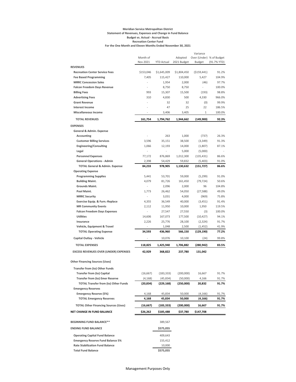#### **Meridian Service Metropolitan District Statement of Revenues, Expenses and Change in Fund Balance Budget vs. Actual - Accrual Basis Recreation Center Fund For the One Month and Eleven Months Ended November 30, 2021**

|                                              |                                                                                                |                   |             | Variance                 |             |
|----------------------------------------------|------------------------------------------------------------------------------------------------|-------------------|-------------|--------------------------|-------------|
|                                              | Month of                                                                                       |                   | Adopted     | Over (Under) % of Budget |             |
|                                              | Nov 2021                                                                                       | <b>YTD Actual</b> | 2021 Budget | <b>Budget</b>            | (91.7% YTD) |
| <b>REVENUES</b>                              |                                                                                                |                   |             |                          |             |
| <b>Recreation Center Service Fees</b>        | \$153,046                                                                                      | \$1,645,009       | \$1,804,450 | ( \$159,441)             | 91.2%       |
| <b>Fee Based Programming</b>                 | 7,405                                                                                          | 115,427           | 110,000     | 5,427                    | 104.9%      |
| <b>MRRC Concession Sales</b>                 | ä,                                                                                             | 1,954             | 2,000       | (46)                     | 97.7%       |
| <b>Falcon Freedom Days Revenue</b>           | $\frac{1}{2} \left( \frac{1}{2} \right) \left( \frac{1}{2} \right) \left( \frac{1}{2} \right)$ | 8,750             | 8,750       | ÷,                       | 100.0%      |
| <b>Billing Fees</b>                          | 993                                                                                            | 15,307            | 15,500      | (193)                    | 98.8%       |
| <b>Advertising Fees</b>                      | 310                                                                                            | 4,830             | 500         | 4,330                    | 966.0%      |
| <b>Grant Revenue</b>                         |                                                                                                | 32                | 32          | (0)                      | 99.9%       |
| <b>Interest Income</b>                       |                                                                                                | 47                | 25          | 22                       | 186.5%      |
| <b>Miscellaneous Income</b>                  |                                                                                                | 3,406             | 3,405       | 1                        | 100.0%      |
| <b>TOTAL REVENUES</b>                        | 161,754                                                                                        | 1,794,762         | 1,944,662   | (149,900)                | 92.3%       |
| <b>EXPENSES</b>                              |                                                                                                |                   |             |                          |             |
| General & Admin. Expense                     |                                                                                                |                   |             |                          |             |
| Accounting                                   |                                                                                                | 263               | 1,000       | (737)                    | 26.3%       |
| <b>Customer Billing Services</b>             | 3,596                                                                                          | 35,151            | 38,500      | (3, 349)                 | 91.3%       |
| <b>Engineering/Consulting</b>                | 1,066                                                                                          | 12,193            | 14,000      | (1,807)                  | 87.1%       |
| Legal                                        | ÷,                                                                                             |                   | 5,000       | (5,000)                  |             |
| <b>Personnel Expenses</b>                    | 77,172                                                                                         | 876,869           | 1,012,300   | (135, 431)               | 86.6%       |
| <b>General Operations - Admin</b>            | 2,398                                                                                          | 54,429            | 59,832      | (5,403)                  | 91.0%       |
| <b>TOTAL General &amp; Admin. Expense</b>    | 84,233                                                                                         | 978,905           | 1,130,632   | (151, 727)               | 86.6%       |
| <b>Operating Expense</b>                     |                                                                                                |                   |             |                          |             |
| <b>Programming Supplies</b>                  | 5,441                                                                                          | 53,701            | 59,000      | (5,299)                  | 91.0%       |
| <b>Building Maint.</b>                       | 4,079                                                                                          | 81,726            | 161,450     | (79, 724)                | 50.6%       |
| <b>Grounds Maint.</b>                        | $\overline{\phantom{a}}$                                                                       | 2,096             | 2,000       | 96                       | 104.8%      |
| Pool Maint.                                  | 1,773                                                                                          | 26,462            | 54,050      | (27, 588)                | 49.0%       |
| <b>MRRC Security</b>                         |                                                                                                | 3,031             | 4,000       | (969)                    | 75.8%       |
| Exercise Equip. & Furn.-Replace              | 4,355                                                                                          | 36,549            | 40,000      | (3, 451)                 | 91.4%       |
| <b>MR Community Events</b>                   | 2,112                                                                                          | 11,950            | 10,000      | 1,950                    | 119.5%      |
| <b>Falcon Freedom Days Expenses</b>          | $\bar{a}$                                                                                      | 27,547            | 27,550      | (3)                      | 100.0%      |
| <b>Utilities</b>                             | 14,606                                                                                         | 167,073           | 177,500     | (10, 427)                | 94.1%       |
| Insurance                                    | 2,226                                                                                          | 25,776            | 28,100      | (2, 324)                 | 91.7%       |
| Vehicle, Equipment & Travel                  |                                                                                                | 1,048             | 2,500       | (1, 452)                 | 41.9%       |
| <b>TOTAL Operating Expense</b>               | 34,593                                                                                         | 436,960           | 566,150     | (129, 190)               | 77.2%       |
| Capital Outlay - Vehicle                     |                                                                                                | 10,076            | 10,100      | (24)                     | 99.8%       |
| <b>TOTAL EXPENSES</b>                        | 118,825                                                                                        | 1,425,940         | 1,706,882   | (280, 942)               | 83.5%       |
| <b>EXCESS REVENUES OVER (UNDER) EXPENSES</b> | 42,929                                                                                         | 368,822           | 237,780     | 131,042                  |             |
| <b>Other Financing Sources (Uses)</b>        |                                                                                                |                   |             |                          |             |
|                                              |                                                                                                |                   |             |                          |             |
| Transfer from (to) Other Funds               |                                                                                                |                   |             |                          |             |
| <b>Transfer from (to) Capital</b>            | (16, 667)                                                                                      | (183, 333)        | (200,000)   | 16,667                   | 91.7%       |
| <b>Transfer from (to) Emer Reserve</b>       | (4,168)                                                                                        | (45,834)          | (50,000)    | 4,166                    | 91.7%       |
| <b>TOTAL Transfer from (to) Other Funds</b>  | (20,834)                                                                                       | (229,168)         | (250,000)   | 20,832                   | 91.7%       |
| <b>Emergency Reserves</b>                    |                                                                                                |                   |             |                          |             |
| <b>Emergency Reserve (5%)</b>                | 4,168                                                                                          | 45,834            | 50,000      | (4, 166)                 | 91.7%       |
| <b>TOTAL Emergency Reserves</b>              | 4,168                                                                                          | 45,834            | 50,000      | (4,166)                  | 91.7%       |
| <b>TOTAL Other Financing Sources (Uses)</b>  | (16, 667)                                                                                      | (183, 333)        | (200,000)   | 16,667                   | 91.7%       |
| <b>NET CHANGE IN FUND BALANCE</b>            | \$26,262                                                                                       | \$185,488         | \$37,780    | \$147,708                |             |
| <b>BEGINNING FUND BALANCE**</b>              |                                                                                                | 389,567           |             |                          |             |
| <b>ENDING FUND BALANCE</b>                   |                                                                                                | \$575,055         |             |                          |             |
| <b>Operating Capital Fund Balance</b>        |                                                                                                | 409,643           |             |                          |             |
| <b>Emergency Reserve Fund Balance 5%</b>     |                                                                                                | 155,412           |             |                          |             |
| <b>Rate Stabilization Fund Balance</b>       |                                                                                                | 10,000            |             |                          |             |
| <b>Total Fund Balance</b>                    |                                                                                                | \$575,055         |             |                          |             |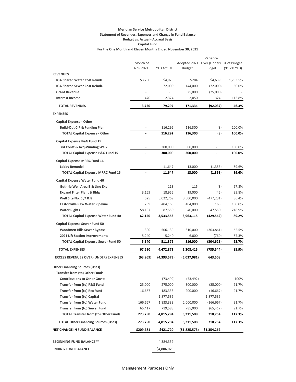#### **Meridian Service Metropolitan District Statement of Revenues, Expenses and Change in Fund Balance Budget vs. Actual - Accrual Basis Capital Fund For the One Month and Eleven Months Ended November 30, 2021**

|                                              |                      |                   |                           | Variance      |             |
|----------------------------------------------|----------------------|-------------------|---------------------------|---------------|-------------|
|                                              | Month of<br>Nov 2021 | <b>YTD Actual</b> | Adopted 2021 Over (Under) | <b>Budget</b> | % of Budget |
| <b>REVENUES</b>                              |                      |                   | Budget                    |               | (91.7% YTD) |
| IGA Shared Water Cost Reimb.                 | \$3,250              | \$4,923           | \$284                     | \$4,639       | 1,733.5%    |
| IGA Shared Sewer Cost Reimb.                 |                      | 72,000            | 144,000                   | (72,000)      | 50.0%       |
| <b>Grant Revenue</b>                         |                      |                   | 25,000                    | (25,000)      |             |
| <b>Interest Income</b>                       | 470                  | 2,374             | 2,050                     | 324           | 115.8%      |
|                                              |                      |                   |                           |               |             |
| <b>TOTAL REVENUES</b>                        | 3,720                | 79,297            | 171,334                   | (92, 037)     | 46.3%       |
| <b>EXPENSES</b>                              |                      |                   |                           |               |             |
| <b>Capital Expense - Other</b>               |                      |                   |                           |               |             |
| <b>Build-Out CIP &amp; Funding Plan</b>      |                      | 116,292           | 116,300                   | (8)           | 100.0%      |
| <b>TOTAL Capital Expense - Other</b>         |                      | 116,292           | 116,300                   | (8)           | 100.0%      |
| Capital Expense P&G Fund 15                  |                      |                   |                           |               |             |
| 3rd Const & Acq-Winding Walk                 |                      | 300,000           | 300,000                   |               | 100.0%      |
| <b>TOTAL Capital Expense P&amp;G Fund 15</b> |                      | 300,000           | 300,000                   |               | 100.0%      |
| Capital Expense MRRC Fund 16                 |                      |                   |                           |               |             |
| <b>Lobby Remodel</b>                         |                      | 11,647            | 13,000                    | (1, 353)      | 89.6%       |
| <b>TOTAL Capital Expense MRRC Fund 16</b>    |                      | 11,647            | 13,000                    | (1, 353)      | 89.6%       |
| Capital Expense Water Fund 40                |                      |                   |                           |               |             |
| <b>Guthrie Well Area B &amp; Line Exp</b>    |                      | 113               | 115                       | (3)           | 97.8%       |
| <b>Expand Filter Plant &amp; Bldg</b>        | 3,169                | 18,955            | 19,000                    | (45)          | 99.8%       |
| Well Site No. 5, 7 & 8                       | 525                  | 3,022,769         | 3,500,000                 | (477, 231)    | 86.4%       |
| <b>Eastonville Raw Water Pipeline</b>        | 269                  | 404,165           | 404,000                   | 165           | 100.0%      |
| <b>Water Rights</b>                          | 58,187               | 87,550            | 40,000                    | 47,550        | 218.9%      |
| <b>TOTAL Capital Expense Water Fund 40</b>   | 62,150               | 3,533,553         | 3,963,115                 | (429,562)     | 89.2%       |
| <b>Capital Expense Sewer Fund 50</b>         |                      |                   |                           |               |             |
| <b>Woodmen Hills Sewer Bypass</b>            | 300                  | 506,139           | 810,000                   | (303, 861)    | 62.5%       |
| 2021 Lift Station Improvements               | 5,240                | 5,240             | 6,000                     | (760)         | 87.3%       |
| <b>TOTAL Capital Expense Sewer Fund 50</b>   | 5,540                | 511,379           | 816,000                   | (304,621)     | 62.7%       |
| <b>TOTAL EXPENSES</b>                        | 67,690               | 4,472,871         | 5,208,415                 | (735,544)     | 85.9%       |
| <b>EXCESS REVENUES OVER (UNDER) EXPENSES</b> | (63,969)             | (4,393,573)       | (5,037,081)               | 643,508       |             |
| <b>Other Financing Sources (Uses)</b>        |                      |                   |                           |               |             |
| <b>Transfer from (to) Other Funds</b>        |                      |                   |                           |               |             |
| <b>Contributions to Other Gov'ts</b>         |                      | (73, 492)         | (73, 492)                 |               | 100%        |
| <b>Transfer from (to) P&amp;G Fund</b>       | 25,000               | 275,000           | 300,000                   | (25,000)      | 91.7%       |
| <b>Transfer from (to) Rec Fund</b>           | 16,667               | 183,333           | 200,000                   | (16, 667)     | 91.7%       |
| <b>Transfer from (to) Capital</b>            |                      | 1,877,536         |                           | 1,877,536     |             |
| Transfer from (to) Water Fund                | 166,667              | 1,833,333         | 2,000,000                 | (166, 667)    | 91.7%       |
| <b>Transfer from (to) Sewer Fund</b>         | 65,417               | 719,583           | 785,000                   | (65, 417)     | 91.7%       |
| <b>TOTAL Transfer from (to) Other Funds</b>  | 273,750              | 4,815,294         | 3,211,508                 | 710,754       | 117.3%      |
| <b>TOTAL Other Financing Sources (Uses)</b>  | 273,750              | 4,815,294         | 3,211,508                 | 710,754       | 117.3%      |
| <b>NET CHANGE IN FUND BALANCE</b>            | \$209,781            | \$421,720         | (\$1,825,573)             | \$1,354,262   |             |
|                                              |                      |                   |                           |               |             |
| <b>BEGINNING FUND BALANCE**</b>              |                      | 4,384,359         |                           |               |             |
| <b>ENDING FUND BALANCE</b>                   |                      | \$4,806,079       |                           |               |             |

#### Management Purposes Only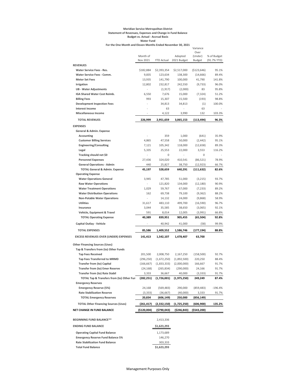#### **Meridian Service Metropolitan District Statement of Revenues, Expenses and Change in Fund Balance Budget vs. Actual - Accrual Basis Water Fund**

**For the One Month and Eleven Months Ended November 30, 2021**

|                                                         |                          |                   |                                              | Variance             |                |
|---------------------------------------------------------|--------------------------|-------------------|----------------------------------------------|----------------------|----------------|
|                                                         | Month of                 |                   | Adopted                                      | Over<br>(Under)      | % of Budget    |
|                                                         | Nov 2021                 | <b>YTD Actual</b> | 2021 Budget                                  | <b>Budget</b>        | (91.7% YTD)    |
| <b>REVENUES</b>                                         |                          |                   |                                              |                      |                |
| <b>Water Service Fees - Res.</b>                        | \$182,884                | \$2,393,354       | \$2,517,000                                  | ( \$123,646)         | 95.1%          |
| Water Service Fees - Comm.                              | 9,835                    | 123,634           | 138,300                                      | (14, 666)            | 89.4%          |
| <b>Meter Set Fees</b>                                   | 13,935                   | 141,790           | 100,000                                      | 41,790               | 141.8%         |
| Irrigation                                              | 12,802                   | 232,817           | 242,550                                      | (9, 733)             | 96.0%          |
| <b>UB - Water Adjustments</b>                           | $\blacksquare$           | (1, 917)          | (2,000)                                      | 83                   | 95.8%          |
| IGA Shared Water Cost Reimb.                            | 6,550                    | 7,676             | 15,000                                       | (7, 324)             | 51.2%          |
| <b>Billing Fees</b>                                     | 993                      | 15,307            | 15,500                                       | (193)                | 98.8%          |
| <b>Development Inspection Fees</b>                      | ÷,                       | 34,813            | 34,813                                       | (1)                  | 100.0%         |
| <b>Interest Income</b>                                  |                          | 63                |                                              | 63                   |                |
| <b>Miscellaneous Income</b>                             | $\overline{\phantom{a}}$ | 4,122             | 3,990                                        | 132                  | 103.3%         |
| <b>TOTAL REVENUES</b>                                   | 226,999                  | 2,951,659         | 3,065,153                                    | (113, 494)           | 96.3%          |
| <b>EXPENSES</b>                                         |                          |                   |                                              |                      |                |
| General & Admin. Expense                                |                          |                   |                                              |                      |                |
| <b>Accounting</b>                                       |                          | 359               | 1,000                                        | (641)                | 35.9%          |
| <b>Customer Billing Services</b>                        | 4,865                    | 47,558            | 50,000                                       | (2, 442)             | 95.1%          |
| <b>Engineering/Consulting</b>                           | 7,121                    | 105,342           | 118,000                                      | (12, 658)            | 89.3%          |
| Legal                                                   | 5,335                    | 25,553            | 22,000                                       | 3,553                | 116.2%         |
| Tracking should net \$0                                 |                          | 0                 |                                              | 0                    |                |
| <b>Personnel Expenses</b>                               | 27,436                   | 324,020           | 410,541                                      | (86, 521)            | 78.9%          |
| <b>General Operations - Admin</b>                       | 440                      | 25,827            | 38,750                                       | (12, 923)            | 66.7%          |
| <b>TOTAL General &amp; Admin. Expense</b>               | 45,197                   | 528,659           | 640,291                                      | (111, 632)           | 82.6%          |
| <b>Operating Expense</b>                                |                          |                   |                                              |                      |                |
| <b>Water Operations General</b>                         | 3,945                    | 47,785            | 51,000                                       | (3, 215)             | 93.7%          |
| <b>Raw Water Operations</b>                             |                          | 121,820           | 134,000                                      | (12, 180)            | 90.9%          |
| <b>Water Treatment Operations</b>                       | 1,029                    | 59,767            | 67,000                                       | (7, 233)             | 89.2%          |
| <b>Water Distribution Operations</b>                    | 162                      | 69,738            | 79,100                                       | (9, 362)             | 88.2%          |
| <b>Non-Potable Water Operations</b><br><b>Utilities</b> |                          | 14,132            | 24,000                                       | (9,868)              | 58.9%          |
| Insurance                                               | 31,617                   | 483,110           | 499,700                                      | (16, 590)            | 96.7%<br>92.1% |
| Vehicle, Equipment & Travel                             | 3,044<br>591             | 35,585<br>8,014   | 38,650<br>12,005                             | (3,065)              | 66.8%          |
| <b>TOTAL Operating Expense</b>                          | 40,389                   | 839,951           | 905,455                                      | (3,991)<br>(65, 504) | 92.8%          |
| <b>Capital Outlay - Vehicle</b>                         |                          | 40,942            | 41,000                                       | (58)                 | 99.9%          |
|                                                         |                          |                   |                                              |                      |                |
| <b>TOTAL EXPENSES</b>                                   | 85,586                   | 1,409,552         | 1,586,746                                    | (177,194)            | 88.8%          |
| <b>EXCESS REVENUES OVER (UNDER) EXPENSES</b>            | 141,413                  | 1,542,107         | 1,478,407                                    | 63,700               |                |
| <b>Other Financing Sources (Uses)</b>                   |                          |                   |                                              |                      |                |
| Tap & Transfers from (to) Other Funds                   |                          |                   |                                              |                      |                |
| <b>Tap Fees Received</b>                                | 201,500                  | 2,008,750         | 2,167,250                                    | (158, 500)           | 92.7%          |
| <b>Tap Fees Transferred to MRMD</b>                     | (296, 250)               | (1,672,250)       | (1,892,500)                                  | 220,250              | 88.4%          |
| <b>Transfer from (to) Capital</b>                       |                          |                   | $(166, 667)$ $(1, 833, 333)$ $(2, 000, 000)$ | 166,667              | 91.7%          |
| <b>Transfer from (to) Emer Reserve</b>                  | (24, 168)                | (265, 834)        | (290,000)                                    | 24,166               | 91.7%          |
| <b>Transfer from (to) Rate Stabil</b>                   | 3,333                    | 36,667            | 40,000                                       | (3, 333)             | 91.7%          |
| TOTAL Tap & Transfers from (to) Other Fun               | (282, 251)               | (1,726,001)       | (1,975,250)                                  | 249,249              | 87.4%          |
| <b>Emergency Reserves</b>                               |                          |                   |                                              |                      |                |
| <b>Emergency Reserve (5%)</b>                           | 24,168                   | (569, 483)        | 290,000                                      | (859, 483)           | $-196.4%$      |
| <b>Rate Stabilization Reserve</b>                       | (3, 333)                 | (36,667)          | (40,000)                                     | 3,333                | 91.7%          |
| <b>TOTAL Emergency Reserves</b>                         | 20,834                   | (606, 149)        | 250,000                                      | (856, 149)           |                |
| <b>TOTAL Other Financing Sources (Uses)</b>             | (261, 417)               | (2,332,150)       | (1,725,250)                                  | (606, 900)           | 135.2%         |
| <b>NET CHANGE IN FUND BALANCE</b>                       | (\$120,004)              | (\$790,043)       | (\$246,843)                                  | (\$543,200)          |                |
| <b>BEGINNING FUND BALANCE**</b>                         |                          | 2,413,336         |                                              |                      |                |
| <b>ENDING FUND BALANCE</b>                              |                          | \$1,623,293       |                                              |                      |                |
| <b>Operating Capital Fund Balance</b>                   |                          | 1,173,689         |                                              |                      |                |
| <b>Emergency Reserve Fund Balance 5%</b>                |                          | 146,270           |                                              |                      |                |
| <b>Rate Stabilization Fund Balance</b>                  |                          | 303,333           |                                              |                      |                |
| <b>Total Fund Balance</b>                               |                          | \$1,623,293       |                                              |                      |                |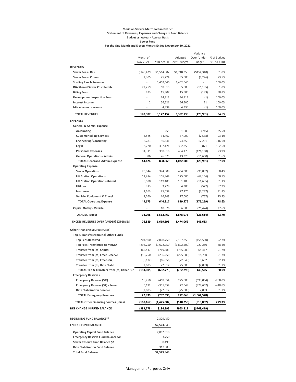#### **Meridian Service Metropolitan District Statement of Revenues, Expenses and Change in Fund Balance Budget vs. Actual - Accrual Basis Sewer Fund For the One Month and Eleven Months Ended November 30, 2021**

|                                                               |                      |                          |                        | Variance                                  |             |
|---------------------------------------------------------------|----------------------|--------------------------|------------------------|-------------------------------------------|-------------|
|                                                               | Month of<br>Nov 2021 | <b>YTD Actual</b>        | Adopted<br>2021 Budget | Over (Under) % of Budget<br><b>Budget</b> | (91.7% YTD) |
| <b>REVENUES</b>                                               |                      |                          |                        |                                           |             |
| Sewer Fees - Res.                                             | \$145,429            | \$1,564,002              | \$1,718,350            | (\$154,348)                               | 91.0%       |
| Sewer Fees - Comm.                                            | 2,305                | 25,724                   | 35,000                 | (9,276)                                   | 73.5%       |
| <b>Sterling Ranch Revenue</b>                                 | ÷,                   | 1,402,640                | 1,402,640              |                                           | 100.0%      |
| IGA Shared Sewer Cost Reimb.                                  | 22,259               | 68,815                   | 85,000                 | (16, 185)                                 | 81.0%       |
| <b>Billing Fees</b>                                           | 993                  | 15,307                   | 15,500                 | (193)                                     | 98.8%       |
| <b>Development Inspection Fees</b>                            |                      | 34,813                   | 34,813                 | (1)                                       | 100.0%      |
| <b>Interest Income</b>                                        | $\overline{2}$       | 56,521                   | 56,500                 | 21                                        | 100.0%      |
| <b>Miscellaneous Income</b>                                   |                      | 4,334                    | 4,335                  | (1)                                       | 100.0%      |
| <b>TOTAL REVENUES</b>                                         | 170,987              | 3,172,157                | 3,352,138              | (179, 981)                                | 94.6%       |
| <b>EXPENSES</b>                                               |                      |                          |                        |                                           |             |
| General & Admin. Expense                                      |                      |                          |                        |                                           |             |
| Accounting                                                    |                      | 255                      | 1,000                  | (745)                                     | 25.5%       |
| <b>Customer Billing Services</b>                              | 3,525                | 34,462                   | 37,000                 | (2,538)                                   | 93.1%       |
| <b>Engineering/Consulting</b>                                 | 6,281                | 86,541                   | 74,250                 | 12,291                                    | 116.6%      |
| Legal                                                         | 3,220                | 392,121                  | 382,250                | 9,871                                     | 102.6%      |
| <b>Personnel Expenses</b>                                     | 31,311               | 358,016                  | 484,175                | (126, 160)                                | 73.9%       |
| <b>General Operations - Admin</b>                             | 86                   | 26,675                   | 43,325                 | (16, 650)                                 | 61.6%       |
| <b>TOTAL General &amp; Admin. Expense</b>                     | 44,424               | 898,069                  | 1,022,000              | (123, 931)                                | 87.9%       |
| <b>Operating Expense</b>                                      |                      |                          |                        |                                           |             |
| <b>Sewer Operations</b>                                       | 25,944               | 374,008                  | 464,900                | (90, 892)                                 | 80.4%       |
| <b>Lift Station Operations</b>                                | 12,414               | 105,844                  | 175,000                | (69, 156)                                 | 60.5%       |
| <b>Lift Station Operations-Shared</b>                         | 5,580                | 119,405                  | 131,100                | (11,695)                                  | 91.1%       |
| <b>Utilities</b>                                              | 313                  | 3,778                    | 4,300                  | (522)                                     | 87.9%       |
| Insurance                                                     | 2,163                | 25,039                   | 27,276                 | (2, 237)                                  | 91.8%       |
| Vehicle, Equipment & Travel                                   | 3,260                | 16,243                   | 17,000                 | (757)                                     | 95.5%       |
| <b>TOTAL Operating Expense</b>                                | 49,675               | 644,317                  | 819,576                | (175, 259)                                | 78.6%       |
| <b>Capital Outlay - Vehicle</b>                               |                      | 10,076                   | 36,500                 | (26, 424)                                 | 27.6%       |
| <b>TOTAL EXPENSES</b>                                         | 94,098               | 1,552,462                | 1,878,076              | (325, 614)                                | 82.7%       |
| <b>EXCESS REVENUES OVER (UNDER) EXPENSES</b>                  | 76,889               | 1,619,695                | 1,474,062              | 145,633                                   |             |
| <b>Other Financing Sources (Uses)</b>                         |                      |                          |                        |                                           |             |
| Tap & Transfers from (to) Other Funds                         |                      |                          |                        |                                           |             |
| <b>Tap Fees Received</b>                                      | 201,500              | 2,008,750                | 2,167,250              | (158, 500)                                | 92.7%       |
| <b>Tap Fees Transferred to MRMD</b>                           | (296, 250)           | (1,672,250)              | (1,892,500)            | 220,250                                   | 88.4%       |
| <b>Transfer from (to) Capital</b>                             | (65, 417)            | (719, 583)               | (785,000)              | 65,417                                    | 91.7%       |
| <b>Transfer from (to) Emer Reserve</b>                        | (18, 750)            | (206, 250)               | (225,000)              | 18,750                                    | 91.7%       |
| Transfer from (to) Emer. (\$2)                                | (6, 172)             | (66, 356)                | (72,048)               | 5,692                                     | 92.1%       |
| <b>Transfer from (to) Rate Stabil</b>                         | 2,083                | 22,917                   | 25,000                 | (2,083)                                   | 91.7%       |
| TOTAL Tap & Transfers from (to) Other Fun                     | (183,005)            | (632,773)                | (782,298)              | 149,525                                   | 80.9%       |
| <b>Emergency Reserves</b>                                     |                      |                          |                        |                                           |             |
| <b>Emergency Reserve (5%)</b>                                 | 18,750               | (468, 054)               | 225,000                | (693, 054)                                | $-208.0%$   |
| Emergency Reserve (\$2) - Sewer                               | 6,172                | (301, 559)               | 72,048                 | (373, 607)                                | $-418.6%$   |
| <b>Rate Stabilization Reserve</b>                             | (2,083)              | (22, 917)                | (25,000)               | 2,083                                     | 91.7%       |
| <b>TOTAL Emergency Reserves</b>                               | 22,839               | (792,530)                | 272,048                | (1,064,578)                               |             |
| <b>TOTAL Other Financing Sources (Uses)</b>                   | (160, 167)           | (1,425,302)              | (510, 250)             | (915,052)                                 | 279.3%      |
| <b>NET CHANGE IN FUND BALANCE</b>                             | $($ \$83,278)        | \$194,393                | \$963,812              | ( \$769, 419)                             |             |
|                                                               |                      |                          |                        |                                           |             |
| <b>BEGINNING FUND BALANCE**</b><br><b>ENDING FUND BALANCE</b> |                      | 2,329,450<br>\$2,523,843 |                        |                                           |             |
|                                                               |                      |                          |                        |                                           |             |
| <b>Operating Capital Fund Balance</b>                         |                      | 2,082,510                |                        |                                           |             |
| <b>Emergency Reserve Fund Balance 5%</b>                      |                      | 93,750                   |                        |                                           |             |
| Sewer Reserve Fund Balance \$2                                |                      | 30,499                   |                        |                                           |             |
| <b>Rate Stabilization Fund Balance</b>                        |                      | 317,083                  |                        |                                           |             |
| <b>Total Fund Balance</b>                                     |                      | \$2,523,843              |                        |                                           |             |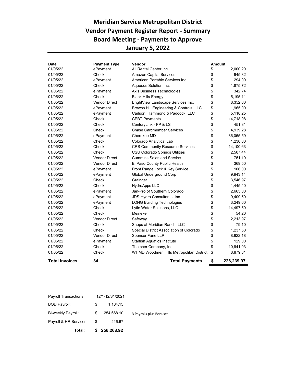## **Meridian Service Metropolitan District Vendor Payment Register Report - Summary Board Meeting - Payments to Approve January 5, 2022**

| <b>Date</b>           | <b>Payment Type</b>  | Vendor                                   | <b>Amount</b> |            |
|-----------------------|----------------------|------------------------------------------|---------------|------------|
| 01/05/22              | ePayment             | All Rental Center Inc.                   | \$            | 2,000.20   |
| 01/05/22              | Check                | <b>Amazon Capital Services</b>           | \$            | 945.82     |
| 01/05/22              | ePayment             | American Portable Services Inc.          | \$            | 294.00     |
| 01/05/22              | Check                | Agueous Solution Inc.                    | \$            | 1.875.72   |
| 01/05/22              | ePayment             | Axis Business Technologies               | \$            | 342.74     |
| 01/05/22              | Check                | <b>Black Hills Energy</b>                | \$            | 5.195.11   |
| 01/05/22              | <b>Vendor Direct</b> | BrightView Landscape Services Inc.       | \$            | 8,352.00   |
| 01/05/22              | ePayment             | Browns Hill Engineering & Controls, LLC  | \$            | 1,965.00   |
| 01/05/22              | ePayment             | Carlson, Hammond & Paddock, LLC          | \$            | 5,118.25   |
| 01/05/22              | Check                | <b>CEBT Payments</b>                     | \$            | 14,718.98  |
| 01/05/22              | Check                | CenturyLink - FP & LS                    | \$            | 451.81     |
| 01/05/22              | Check                | <b>Chase Cardmember Services</b>         | \$            | 4,939.28   |
| 01/05/22              | ePayment             | Cherokee MD                              | \$            | 86,065.59  |
| 01/05/22              | Check                | Colorado Analytical Lab                  | \$            | 1,230.00   |
| 01/05/22              | Check                | <b>CRS Community Resource Services</b>   | \$            | 14,100.63  |
| 01/05/22              | Check                | <b>CSU Colorado Springs Utilities</b>    | \$            | 2,507.44   |
| 01/05/22              | <b>Vendor Direct</b> | <b>Cummins Sales and Service</b>         | \$            | 751.10     |
| 01/05/22              | <b>Vendor Direct</b> | El Paso County Public Health             | \$            | 369.50     |
| 01/05/22              | ePayment             | Front Range Lock & Key Service           | \$            | 106.00     |
| 01/05/22              | ePayment             | Global Underground Corp                  | \$            | 9,943.14   |
| 01/05/22              | Check                | Grainger                                 | \$            | 3.546.97   |
| 01/05/22              | Check                | <b>HydroApps LLC</b>                     | \$            | 1,445.40   |
| 01/05/22              | ePayment             | Jan-Pro of Southern Colorado             | \$            | 2,663.00   |
| 01/05/22              | ePayment             | JDS-Hydro Consultants, Inc.              | \$            | 9,409.50   |
| 01/05/22              | ePayment             | <b>LONG Building Technologies</b>        | \$            | 3,249.00   |
| 01/05/22              | Check                | Lytle Water Solutions, LLC               | \$            | 14,497.50  |
| 01/05/22              | Check                | Meineke                                  | \$            | 54.20      |
| 01/05/22              | <b>Vendor Direct</b> | Safeway                                  | \$            | 2.213.97   |
| 01/05/22              | Check                | Shops at Meridian Ranch, LLC             | \$            | 79.10      |
| 01/05/22              | Check                | Special District Association of Colorado | \$            | 1,237.50   |
| 01/05/22              | <b>Vendor Direct</b> | Spencer Fane LLP                         | \$            | 8,922.18   |
| 01/05/22              | ePayment             | <b>Starfish Aquatics Institute</b>       | \$            | 129.00     |
| 01/05/22              | Check                | Thatcher Company, Inc                    | \$            | 10,641.03  |
| 01/05/22              | Check                | WHMD Woodmen Hills Metropolitan District | \$            | 8,879.31   |
| <b>Total Invoices</b> | 34                   | <b>Total Payments</b>                    | \$            | 228,239.97 |

| Total:                      |                 | \$256,268.92 |                         |
|-----------------------------|-----------------|--------------|-------------------------|
| Payroll & HR Services:      | S               | 416.67       |                         |
| Bi-weekly Payroll:          | S               | 254.668.10   | 3 Payrolls plus Bonuses |
| <b>BOD Payroll:</b>         | S               | 1,184.15     |                         |
| <b>Payroll Transactions</b> | 12/1-12/31/2021 |              |                         |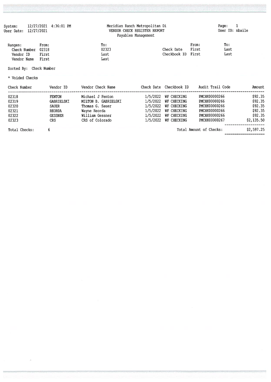| System:    | 12/27/2021 | 4:36:01 PM |  |
|------------|------------|------------|--|
| User Date: | 12/27/2021 |            |  |

# Meridian Ranch Metropolitan Di<br>VENDOR CHECK REGISTER REPORT<br>Payables Management

| Ranges:<br>Check Number 02318<br>Vendor ID<br>Vendor Name | From:<br>First<br>First | To:<br>02323<br>Last<br>Last | Check Date<br>Checkbook ID First | From:<br>First | To:<br>Last<br>Last |
|-----------------------------------------------------------|-------------------------|------------------------------|----------------------------------|----------------|---------------------|
|-----------------------------------------------------------|-------------------------|------------------------------|----------------------------------|----------------|---------------------|

Sorted By: Check Number

\* Voided Checks

| Check Number  | Vendor ID      | Vendor Check Name    | Check Date Checkbook ID | Audit Trail Code        | Amount     |
|---------------|----------------|----------------------|-------------------------|-------------------------|------------|
| 02318         | <b>FENTON</b>  | Michael J Fenton     | 1/5/2022 WF CHECKING    | PMCHK00000266           | \$92.35    |
| 02319         | GABRIELSKI     | MILTON B. GABRIELSKI | $1/5/2022$ WF CHECKING  | PMCHK00000266           | \$92.35    |
| 02320         | SAUER          | Thomas G. Sauer      | 1/5/2022 WF CHECKING    | PMCHK00000266           | \$92.35    |
| 02321         | <b>REORDA</b>  | Wayne Reorda         | 1/5/2022 WF CHECKING    | PMCHK00000266           | \$92.35    |
| 02322         | <b>GESSNER</b> | William Gessner      | 1/5/2022 WF CHECKING    | PMCHK00000266           | \$92.35    |
| 02323         | CRS            | CRS of Colorado      | 1/5/2022 WF CHECKING    | PMCHK00000267           | \$2,135.50 |
| Total Checks: |                |                      |                         | Total Amount of Checks: | \$2,597.25 |

----